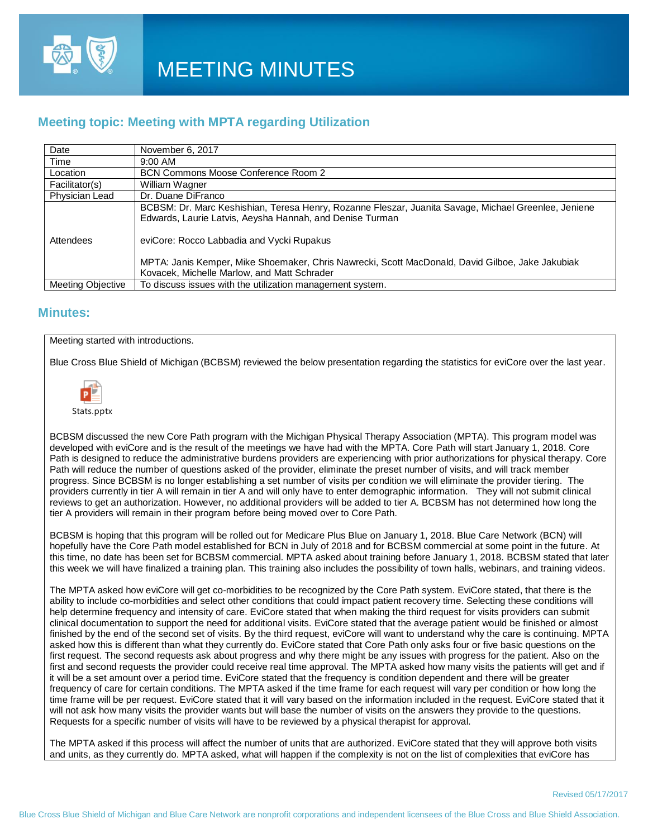

### **Meeting topic: Meeting with MPTA regarding Utilization**

| Date                     | November 6, 2017                                                                                                                                                 |
|--------------------------|------------------------------------------------------------------------------------------------------------------------------------------------------------------|
| Time                     | $9:00$ AM                                                                                                                                                        |
| Location                 | BCN Commons Moose Conference Room 2                                                                                                                              |
| Facilitator(s)           | William Wagner                                                                                                                                                   |
| Physician Lead           | Dr. Duane DiFranco                                                                                                                                               |
|                          | BCBSM: Dr. Marc Keshishian, Teresa Henry, Rozanne Fleszar, Juanita Savage, Michael Greenlee, Jeniene<br>Edwards, Laurie Latvis, Aeysha Hannah, and Denise Turman |
| Attendees                | eviCore: Rocco Labbadia and Vycki Rupakus                                                                                                                        |
|                          | MPTA: Janis Kemper, Mike Shoemaker, Chris Nawrecki, Scott MacDonald, David Gilboe, Jake Jakubiak<br>Kovacek, Michelle Marlow, and Matt Schrader                  |
| <b>Meeting Objective</b> | To discuss issues with the utilization management system.                                                                                                        |

### **Minutes:**

#### Meeting started with introductions.

Blue Cross Blue Shield of Michigan (BCBSM) reviewed the below presentation regarding the statistics for eviCore over the last year.



Stats.pptx

BCBSM discussed the new Core Path program with the Michigan Physical Therapy Association (MPTA). This program model was developed with eviCore and is the result of the meetings we have had with the MPTA. Core Path will start January 1, 2018. Core Path is designed to reduce the administrative burdens providers are experiencing with prior authorizations for physical therapy. Core Path will reduce the number of questions asked of the provider, eliminate the preset number of visits, and will track member progress. Since BCBSM is no longer establishing a set number of visits per condition we will eliminate the provider tiering. The providers currently in tier A will remain in tier A and will only have to enter demographic information. They will not submit clinical reviews to get an authorization. However, no additional providers will be added to tier A. BCBSM has not determined how long the tier A providers will remain in their program before being moved over to Core Path.

BCBSM is hoping that this program will be rolled out for Medicare Plus Blue on January 1, 2018. Blue Care Network (BCN) will hopefully have the Core Path model established for BCN in July of 2018 and for BCBSM commercial at some point in the future. At this time, no date has been set for BCBSM commercial. MPTA asked about training before January 1, 2018. BCBSM stated that later this week we will have finalized a training plan. This training also includes the possibility of town halls, webinars, and training videos.

The MPTA asked how eviCore will get co-morbidities to be recognized by the Core Path system. EviCore stated, that there is the ability to include co-morbidities and select other conditions that could impact patient recovery time. Selecting these conditions will help determine frequency and intensity of care. EviCore stated that when making the third request for visits providers can submit clinical documentation to support the need for additional visits. EviCore stated that the average patient would be finished or almost finished by the end of the second set of visits. By the third request, eviCore will want to understand why the care is continuing. MPTA asked how this is different than what they currently do. EviCore stated that Core Path only asks four or five basic questions on the first request. The second requests ask about progress and why there might be any issues with progress for the patient. Also on the first and second requests the provider could receive real time approval. The MPTA asked how many visits the patients will get and if it will be a set amount over a period time. EviCore stated that the frequency is condition dependent and there will be greater frequency of care for certain conditions. The MPTA asked if the time frame for each request will vary per condition or how long the time frame will be per request. EviCore stated that it will vary based on the information included in the request. EviCore stated that it will not ask how many visits the provider wants but will base the number of visits on the answers they provide to the questions. Requests for a specific number of visits will have to be reviewed by a physical therapist for approval.

The MPTA asked if this process will affect the number of units that are authorized. EviCore stated that they will approve both visits and units, as they currently do. MPTA asked, what will happen if the complexity is not on the list of complexities that eviCore has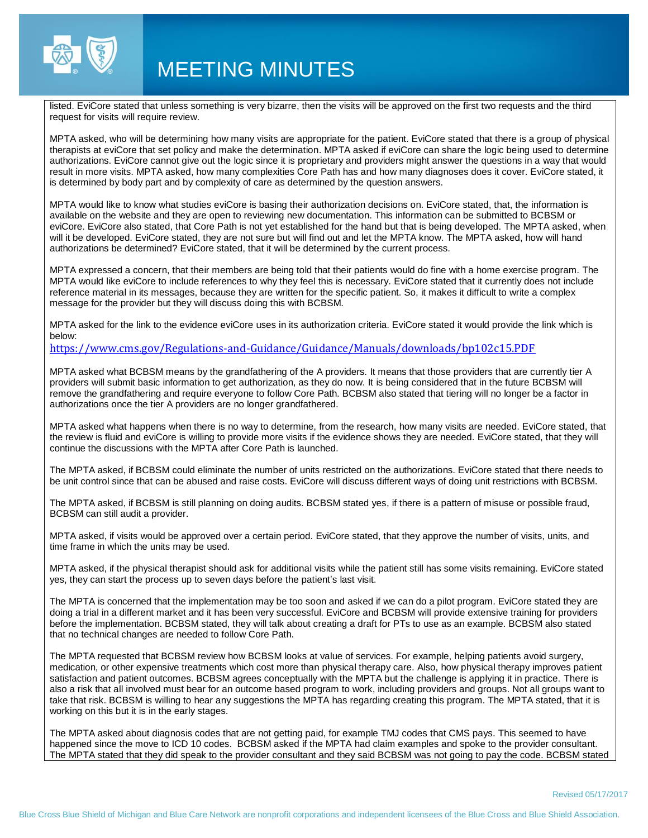

## MEETING MINUTES

listed. EviCore stated that unless something is very bizarre, then the visits will be approved on the first two requests and the third request for visits will require review.

MPTA asked, who will be determining how many visits are appropriate for the patient. EviCore stated that there is a group of physical therapists at eviCore that set policy and make the determination. MPTA asked if eviCore can share the logic being used to determine authorizations. EviCore cannot give out the logic since it is proprietary and providers might answer the questions in a way that would result in more visits. MPTA asked, how many complexities Core Path has and how many diagnoses does it cover. EviCore stated, it is determined by body part and by complexity of care as determined by the question answers.

MPTA would like to know what studies eviCore is basing their authorization decisions on. EviCore stated, that, the information is available on the website and they are open to reviewing new documentation. This information can be submitted to BCBSM or eviCore. EviCore also stated, that Core Path is not yet established for the hand but that is being developed. The MPTA asked, when will it be developed. EviCore stated, they are not sure but will find out and let the MPTA know. The MPTA asked, how will hand authorizations be determined? EviCore stated, that it will be determined by the current process.

MPTA expressed a concern, that their members are being told that their patients would do fine with a home exercise program. The MPTA would like eviCore to include references to why they feel this is necessary. EviCore stated that it currently does not include reference material in its messages, because they are written for the specific patient. So, it makes it difficult to write a complex message for the provider but they will discuss doing this with BCBSM.

MPTA asked for the link to the evidence eviCore uses in its authorization criteria. EviCore stated it would provide the link which is below:

#### <https://www.cms.gov/Regulations-and-Guidance/Guidance/Manuals/downloads/bp102c15.PDF>

MPTA asked what BCBSM means by the grandfathering of the A providers. It means that those providers that are currently tier A providers will submit basic information to get authorization, as they do now. It is being considered that in the future BCBSM will remove the grandfathering and require everyone to follow Core Path. BCBSM also stated that tiering will no longer be a factor in authorizations once the tier A providers are no longer grandfathered.

MPTA asked what happens when there is no way to determine, from the research, how many visits are needed. EviCore stated, that the review is fluid and eviCore is willing to provide more visits if the evidence shows they are needed. EviCore stated, that they will continue the discussions with the MPTA after Core Path is launched.

The MPTA asked, if BCBSM could eliminate the number of units restricted on the authorizations. EviCore stated that there needs to be unit control since that can be abused and raise costs. EviCore will discuss different ways of doing unit restrictions with BCBSM.

The MPTA asked, if BCBSM is still planning on doing audits. BCBSM stated yes, if there is a pattern of misuse or possible fraud, BCBSM can still audit a provider.

MPTA asked, if visits would be approved over a certain period. EviCore stated, that they approve the number of visits, units, and time frame in which the units may be used.

MPTA asked, if the physical therapist should ask for additional visits while the patient still has some visits remaining. EviCore stated yes, they can start the process up to seven days before the patient's last visit.

The MPTA is concerned that the implementation may be too soon and asked if we can do a pilot program. EviCore stated they are doing a trial in a different market and it has been very successful. EviCore and BCBSM will provide extensive training for providers before the implementation. BCBSM stated, they will talk about creating a draft for PTs to use as an example. BCBSM also stated that no technical changes are needed to follow Core Path.

The MPTA requested that BCBSM review how BCBSM looks at value of services. For example, helping patients avoid surgery, medication, or other expensive treatments which cost more than physical therapy care. Also, how physical therapy improves patient satisfaction and patient outcomes. BCBSM agrees conceptually with the MPTA but the challenge is applying it in practice. There is also a risk that all involved must bear for an outcome based program to work, including providers and groups. Not all groups want to take that risk. BCBSM is willing to hear any suggestions the MPTA has regarding creating this program. The MPTA stated, that it is working on this but it is in the early stages.

The MPTA asked about diagnosis codes that are not getting paid, for example TMJ codes that CMS pays. This seemed to have happened since the move to ICD 10 codes. BCBSM asked if the MPTA had claim examples and spoke to the provider consultant. The MPTA stated that they did speak to the provider consultant and they said BCBSM was not going to pay the code. BCBSM stated